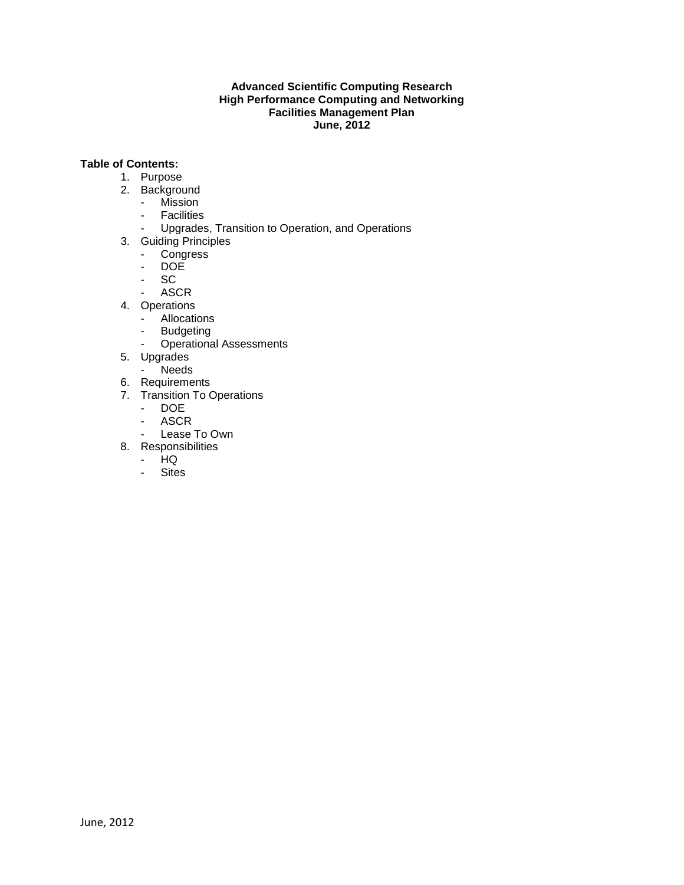#### **Advanced Scientific Computing Research High Performance Computing and Networking Facilities Management Plan June, 2012**

#### **Table of Contents:**

- 1. Purpose
- 2. Background
	- Mission
	- Facilities
	- Upgrades, Transition to Operation, and Operations
- 3. Guiding Principles
	- Congress
	- DOE<br>- SC
	- S<sub>C</sub>
	- **ASCR**
- 4. Operations
	- Allocations<br>- Budgeting
	- **Budgeting**
	- Operational Assessments
- 5. Upgrades
	- Needs
- 6. Requirements
- 7. Transition To Operations
	- DOE
	- ASCR
	- Lease To Own
- 8. Responsibilities
	- HQ<br>- Site
	- **Sites**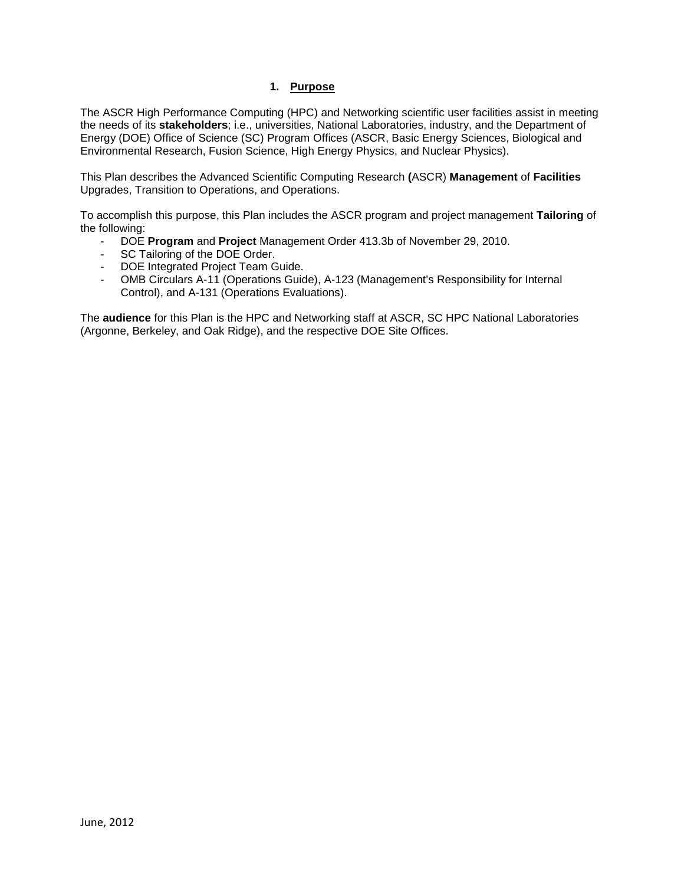### **1. Purpose**

The ASCR High Performance Computing (HPC) and Networking scientific user facilities assist in meeting the needs of its **stakeholders**; i.e., universities, National Laboratories, industry, and the Department of Energy (DOE) Office of Science (SC) Program Offices (ASCR, Basic Energy Sciences, Biological and Environmental Research, Fusion Science, High Energy Physics, and Nuclear Physics).

This Plan describes the Advanced Scientific Computing Research **(**ASCR) **Management** of **Facilities** Upgrades, Transition to Operations, and Operations.

To accomplish this purpose, this Plan includes the ASCR program and project management **Tailoring** of the following:

- DOE **Program** and **Project** Management Order 413.3b of November 29, 2010.
- SC Tailoring of the DOE Order.
- DOE Integrated Project Team Guide.
- OMB Circulars A-11 (Operations Guide), A-123 (Management's Responsibility for Internal Control), and A-131 (Operations Evaluations).

The **audience** for this Plan is the HPC and Networking staff at ASCR, SC HPC National Laboratories (Argonne, Berkeley, and Oak Ridge), and the respective DOE Site Offices.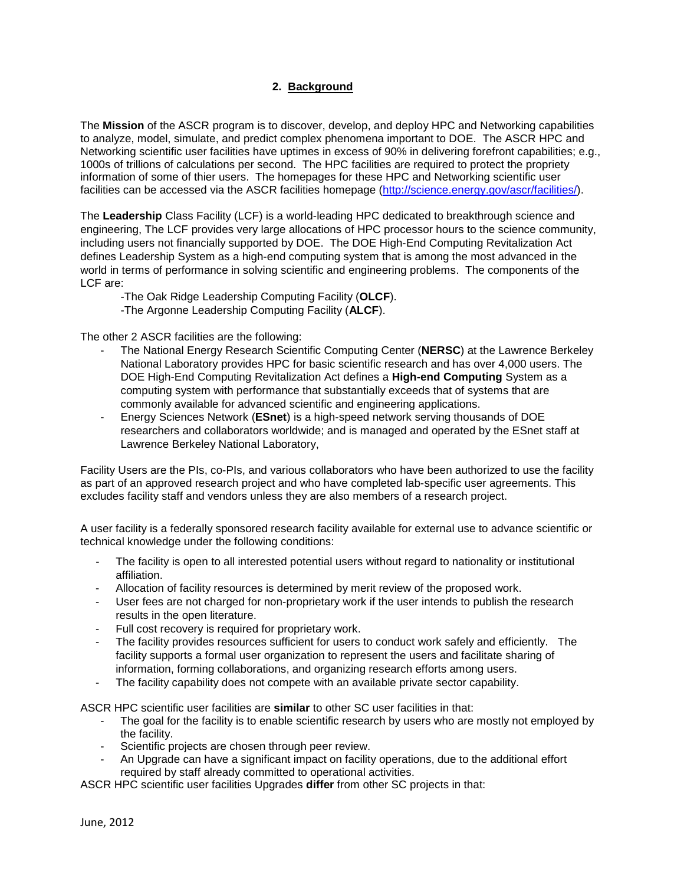# **2. Background**

The **Mission** of the ASCR program is to discover, develop, and deploy HPC and Networking capabilities to analyze, model, simulate, and predict complex phenomena important to DOE. The ASCR [HPC](http://science.energy.gov/ascr/facilities/) and [Networking scientific user facilities](http://science.energy.gov/ascr/facilities/) have uptimes in excess of 90% in delivering forefront capabilities; e.g., 1000s of trillions of calculations per second. The HPC facilities are required to protect the propriety information of some of thier users. The homepages for these HPC and Networking scientific user facilities can be accessed via the ASCR facilities homepage [\(http://science.energy.gov/ascr/facilities/\)](http://science.energy.gov/ascr/facilities/).

The **Leadership** Class Facility (LCF) is a world-leading HPC dedicated to breakthrough science and engineering, The LCF provides very large allocations of HPC processor hours to the science community, including users not financially supported by DOE. The DOE High-End Computing Revitalization Act defines Leadership System as a high-end computing system that is among the most advanced in the world in terms of performance in solving scientific and engineering problems. The components of the LCF are:

-The Oak Ridge Leadership Computing Facility (**OLCF**). -The Argonne Leadership Computing Facility (**ALCF**).

The other 2 ASCR facilities are the following:

- The National Energy Research Scientific Computing Center (**NERSC**) at the Lawrence Berkeley National Laboratory provides HPC for basic scientific research and has over 4,000 users. The DOE High-End Computing Revitalization Act defines a **High-end Computing** System as a computing system with performance that substantially exceeds that of systems that are commonly available for advanced scientific and engineering applications.
- Energy Sciences Network (**ESnet**) is a high-speed network serving thousands of DOE researchers and collaborators worldwide; and is managed and operated by the ESnet staff at Lawrence Berkeley National Laboratory,

Facility Users are the PIs, co-PIs, and various collaborators who have been authorized to use the facility as part of an approved research project and who have completed lab-specific user agreements. This excludes facility staff and vendors unless they are also members of a research project.

A user facility is a federally sponsored research facility available for external use to advance scientific or technical knowledge under the following conditions:

- The facility is open to all interested potential users without regard to nationality or institutional affiliation.
- Allocation of facility resources is determined by merit review of the proposed work.
- User fees are not charged for non-proprietary work if the user intends to publish the research results in the open literature.
- Full cost recovery is required for proprietary work.
- The facility provides resources sufficient for users to conduct work safely and efficiently. The facility supports a formal user organization to represent the users and facilitate sharing of information, forming collaborations, and organizing research efforts among users.
- The facility capability does not compete with an available private sector capability.

ASCR HPC scientific user facilities are **similar** to other SC user facilities in that:

- The goal for the facility is to enable scientific research by users who are mostly not employed by the facility.
- Scientific projects are chosen through peer review.
- An Upgrade can have a significant impact on facility operations, due to the additional effort required by staff already committed to operational activities.

ASCR HPC scientific user facilities Upgrades **differ** from other SC projects in that: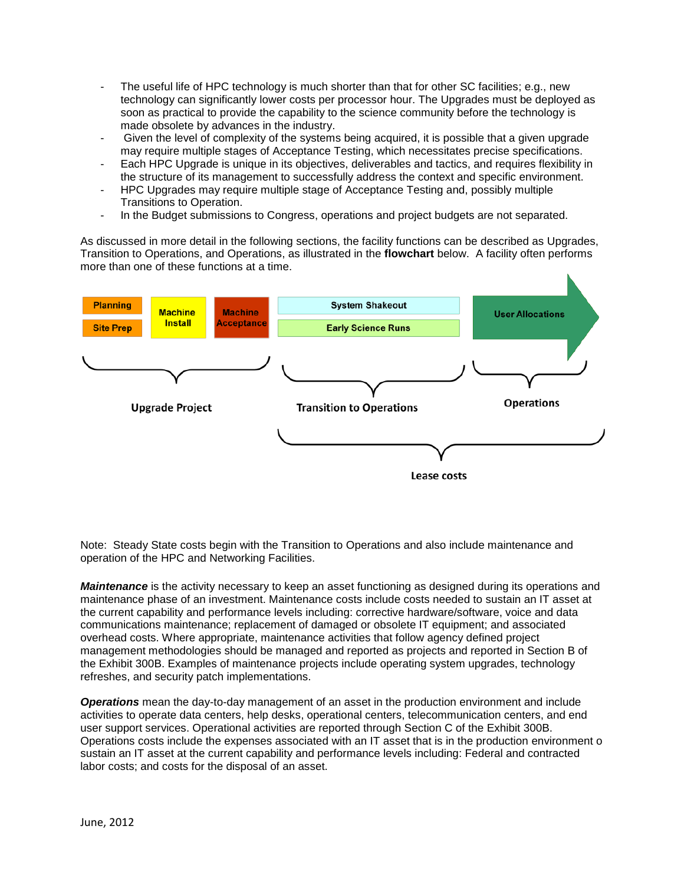- The useful life of HPC technology is much shorter than that for other SC facilities; e.g., new technology can significantly lower costs per processor hour. The Upgrades must be deployed as soon as practical to provide the capability to the science community before the technology is made obsolete by advances in the industry.
- Given the level of complexity of the systems being acquired, it is possible that a given upgrade may require multiple stages of Acceptance Testing, which necessitates precise specifications.
- Each HPC Upgrade is unique in its objectives, deliverables and tactics, and requires flexibility in the structure of its management to successfully address the context and specific environment.
- HPC Upgrades may require multiple stage of Acceptance Testing and, possibly multiple Transitions to Operation.
- In the Budget submissions to Congress, operations and project budgets are not separated.

As discussed in more detail in the following sections, the facility functions can be described as Upgrades, Transition to Operations, and Operations, as illustrated in the **flowchart** below. A facility often performs more than one of these functions at a time.



Note: Steady State costs begin with the Transition to Operations and also include maintenance and operation of the HPC and Networking Facilities.

*Maintenance* is the activity necessary to keep an asset functioning as designed during its operations and maintenance phase of an investment. Maintenance costs include costs needed to sustain an IT asset at the current capability and performance levels including: corrective hardware/software, voice and data communications maintenance; replacement of damaged or obsolete IT equipment; and associated overhead costs. Where appropriate, maintenance activities that follow agency defined project management methodologies should be managed and reported as projects and reported in Section B of the Exhibit 300B. Examples of maintenance projects include operating system upgrades, technology refreshes, and security patch implementations.

*Operations* mean the day-to-day management of an asset in the production environment and include activities to operate data centers, help desks, operational centers, telecommunication centers, and end user support services. Operational activities are reported through Section C of the Exhibit 300B. Operations costs include the expenses associated with an IT asset that is in the production environment o sustain an IT asset at the current capability and performance levels including: Federal and contracted labor costs; and costs for the disposal of an asset.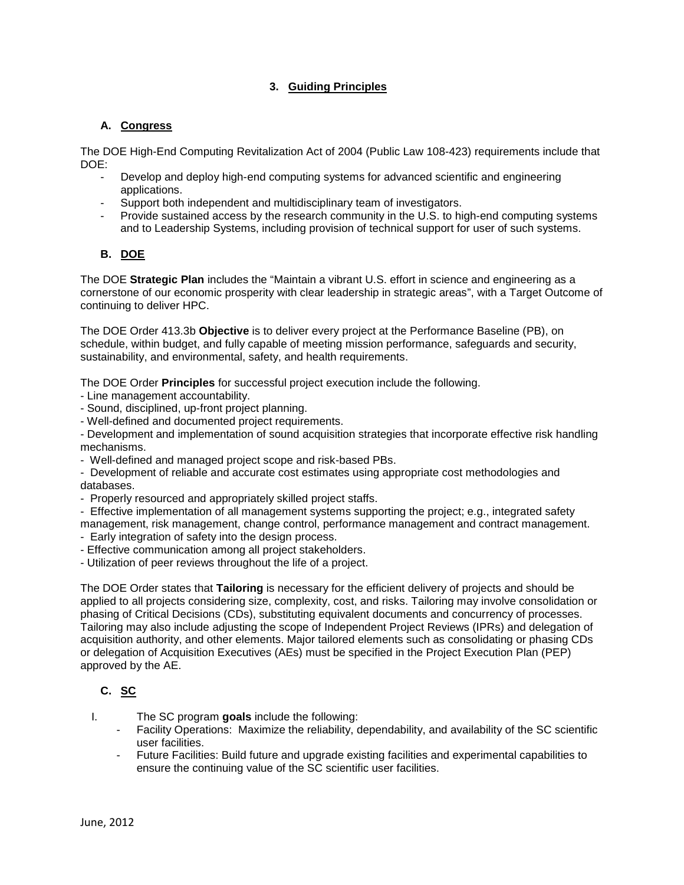# **3. Guiding Principles**

### **A. Congress**

The DOE High-End Computing Revitalization Act of 2004 (Public Law 108-423) requirements include that DOE:

- Develop and deploy high-end computing systems for advanced scientific and engineering applications.
- Support both independent and multidisciplinary team of investigators.
- Provide sustained access by the research community in the U.S. to high-end computing systems and to Leadership Systems, including provision of technical support for user of such systems.

#### **B. DOE**

The DOE **Strategic Plan** includes the "Maintain a vibrant U.S. effort in science and engineering as a cornerstone of our economic prosperity with clear leadership in strategic areas", with a Target Outcome of continuing to deliver HPC.

The DOE Order 413.3b **Objective** is to deliver every project at the Performance Baseline (PB), on schedule, within budget, and fully capable of meeting mission performance, safeguards and security, sustainability, and environmental, safety, and health requirements.

The DOE Order **Principles** for successful project execution include the following.

- Line management accountability.
- Sound, disciplined, up-front project planning.
- Well-defined and documented project requirements.
- Development and implementation of sound acquisition strategies that incorporate effective risk handling mechanisms.
- Well-defined and managed project scope and risk-based PBs.
- Development of reliable and accurate cost estimates using appropriate cost methodologies and databases.
- Properly resourced and appropriately skilled project staffs.
- Effective implementation of all management systems supporting the project; e.g., integrated safety management, risk management, change control, performance management and contract management.
- Early integration of safety into the design process.
- Effective communication among all project stakeholders.
- Utilization of peer reviews throughout the life of a project.

The DOE Order states that **Tailoring** is necessary for the efficient delivery of projects and should be applied to all projects considering size, complexity, cost, and risks. Tailoring may involve consolidation or phasing of Critical Decisions (CDs), substituting equivalent documents and concurrency of processes. Tailoring may also include adjusting the scope of Independent Project Reviews (IPRs) and delegation of acquisition authority, and other elements. Major tailored elements such as consolidating or phasing CDs or delegation of Acquisition Executives (AEs) must be specified in the Project Execution Plan (PEP) approved by the AE.

### **C. SC**

- I. The SC program **goals** include the following:
	- Facility Operations: Maximize the reliability, dependability, and availability of the SC scientific user facilities.
	- Future Facilities: Build future and upgrade existing facilities and experimental capabilities to ensure the continuing value of the SC scientific user facilities.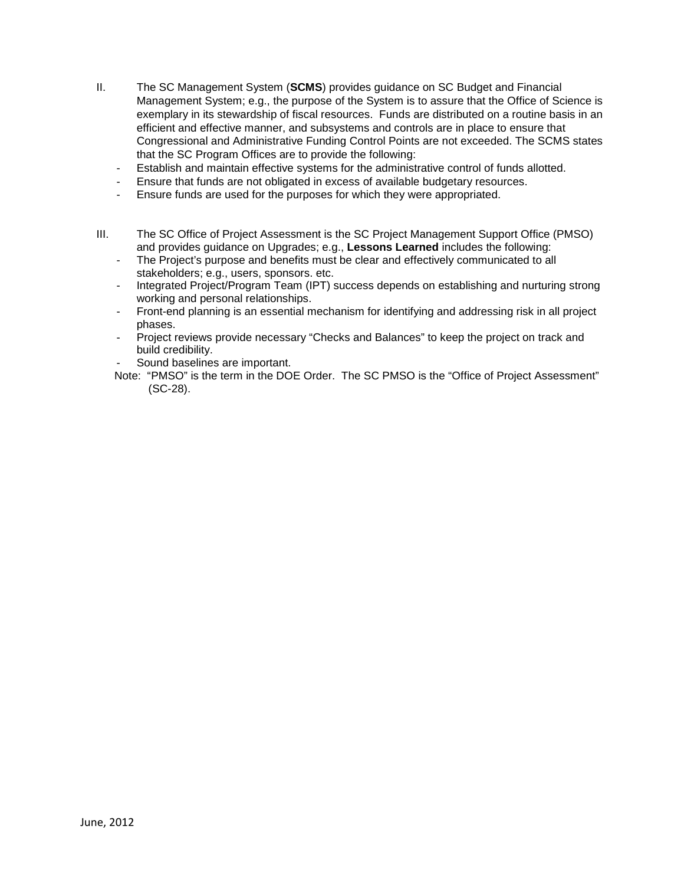- II. The SC Management System (**SCMS**) provides guidance on SC Budget and Financial Management System; e.g., the purpose of the System is to assure that the Office of Science is exemplary in its stewardship of fiscal resources. Funds are distributed on a routine basis in an efficient and effective manner, and subsystems and controls are in place to ensure that Congressional and Administrative Funding Control Points are not exceeded. The SCMS states that the SC Program Offices are to provide the following:
	- Establish and maintain effective systems for the administrative control of funds allotted.
	- Ensure that funds are not obligated in excess of available budgetary resources.
	- Ensure funds are used for the purposes for which they were appropriated.
- III. The SC Office of Project Assessment is the SC Project Management Support Office (PMSO) and provides guidance on Upgrades; e.g., **Lessons Learned** includes the following:
	- The Project's purpose and benefits must be clear and effectively communicated to all stakeholders; e.g., users, sponsors. etc.
	- Integrated Project/Program Team (IPT) success depends on establishing and nurturing strong working and personal relationships.
	- Front-end planning is an essential mechanism for identifying and addressing risk in all project phases.
	- Project reviews provide necessary "Checks and Balances" to keep the project on track and build credibility.
	- Sound baselines are important.
	- Note: "PMSO" is the term in the DOE Order. The SC PMSO is the "Office of Project Assessment" (SC-28).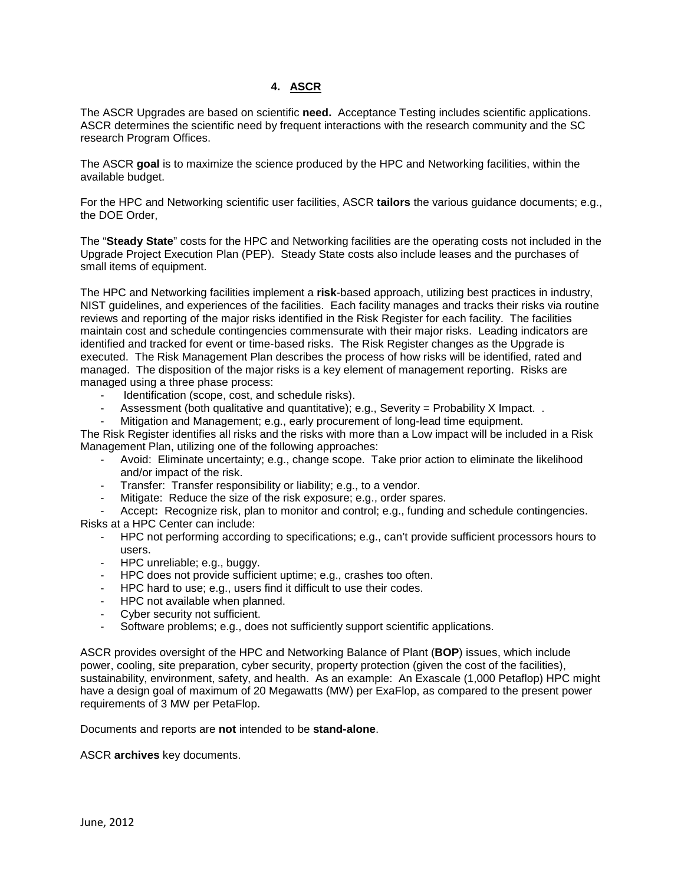## **4. ASCR**

The ASCR Upgrades are based on scientific **need.** Acceptance Testing includes scientific applications. ASCR determines the scientific need by frequent interactions with the research community and the SC research Program Offices.

The ASCR **goal** is to maximize the science produced by the HPC and Networking facilities, within the available budget.

For the HPC and Networking scientific user facilities, ASCR **tailors** the various guidance documents; e.g., the DOE Order,

The "**Steady State**" costs for the HPC and Networking facilities are the operating costs not included in the Upgrade Project Execution Plan (PEP). Steady State costs also include leases and the purchases of small items of equipment.

The HPC and Networking facilities implement a **risk**-based approach, utilizing best practices in industry, NIST guidelines, and experiences of the facilities. Each facility manages and tracks their risks via routine reviews and reporting of the major risks identified in the Risk Register for each facility. The facilities maintain cost and schedule contingencies commensurate with their major risks. Leading indicators are identified and tracked for event or time-based risks. The Risk Register changes as the Upgrade is executed. The Risk Management Plan describes the process of how risks will be identified, rated and managed. The disposition of the major risks is a key element of management reporting. Risks are managed using a three phase process:

- Identification (scope, cost, and schedule risks).
- Assessment (both qualitative and quantitative); e.g., Severity = Probability X Impact. .
- Mitigation and Management; e.g., early procurement of long-lead time equipment.

The Risk Register identifies all risks and the risks with more than a Low impact will be included in a Risk Management Plan, utilizing one of the following approaches:

- Avoid: Eliminate uncertainty; e.g., change scope. Take prior action to eliminate the likelihood and/or impact of the risk.
- Transfer: Transfer responsibility or liability; e.g., to a vendor.
- Mitigate: Reduce the size of the risk exposure; e.g., order spares.

- Accept**:** Recognize risk, plan to monitor and control; e.g., funding and schedule contingencies. Risks at a HPC Center can include:

- HPC not performing according to specifications; e.g., can't provide sufficient processors hours to users.
- HPC unreliable; e.g., buggy.
- HPC does not provide sufficient uptime; e.g., crashes too often.
- HPC hard to use; e.g., users find it difficult to use their codes.
- HPC not available when planned.
- Cyber security not sufficient.
- Software problems; e.g., does not sufficiently support scientific applications.

ASCR provides oversight of the HPC and Networking Balance of Plant (**BOP**) issues, which include power, cooling, site preparation, cyber security, property protection (given the cost of the facilities), sustainability, environment, safety, and health. As an example: An Exascale (1,000 Petaflop) HPC might have a design goal of maximum of 20 Megawatts (MW) per ExaFlop, as compared to the present power requirements of 3 MW per PetaFlop.

Documents and reports are **not** intended to be **stand-alone**.

ASCR **archives** key documents.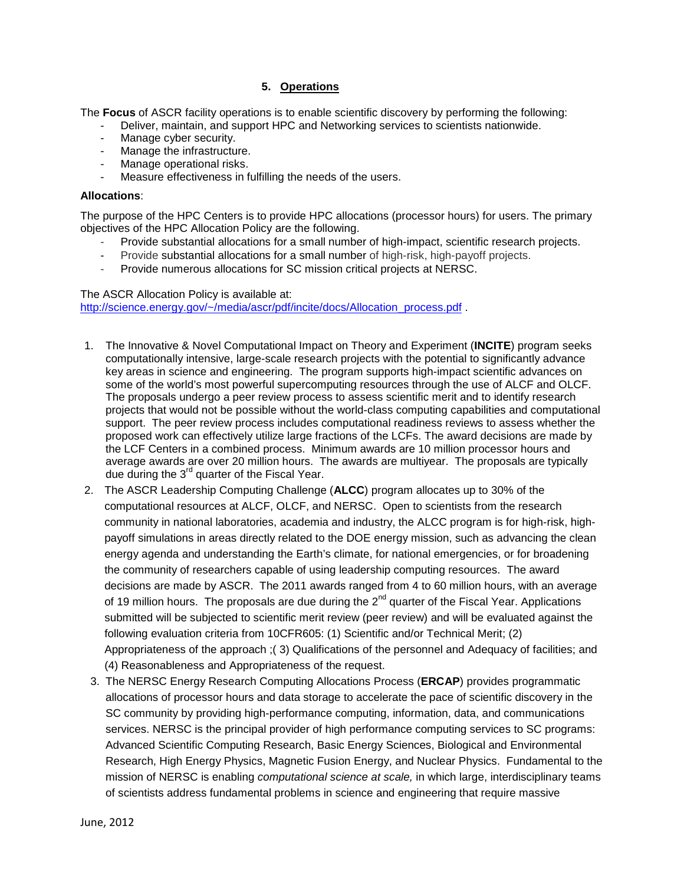#### **5. Operations**

The **Focus** of ASCR facility operations is to enable scientific discovery by performing the following:

- Deliver, maintain, and support HPC and Networking services to scientists nationwide.
- Manage cyber security.
- Manage the infrastructure.
- Manage operational risks.
- Measure effectiveness in fulfilling the needs of the users.

#### **Allocations**:

The purpose of the HPC Centers is to provide HPC allocations (processor hours) for users. The primary objectives of the HPC Allocation Policy are the following.

- Provide substantial allocations for a small number of high-impact, scientific research projects.
- Provide substantial allocations for a small number of high-risk, high-payoff projects.
- Provide numerous allocations for SC mission critical projects at NERSC.

The ASCR Allocation Policy is available at: [http://science.energy.gov/~/media/ascr/pdf/incite/docs/Allocation\\_process.pdf](http://science.energy.gov/~/media/ascr/pdf/incite/docs/Allocation_process.pdf) .

- 1. The Innovative & Novel Computational Impact on Theory and Experiment (**INCITE**) program seeks computationally intensive, large-scale research projects with the potential to significantly advance key areas in science and engineering. The program supports high-impact scientific advances on some of the world's most powerful supercomputing resources through the use of ALCF and OLCF. The proposals undergo a peer review process to assess scientific merit and to identify research projects that would not be possible without the world-class computing capabilities and computational support. The peer review process includes computational readiness reviews to assess whether the proposed work can effectively utilize large fractions of the LCFs. The award decisions are made by the LCF Centers in a combined process. Minimum awards are 10 million processor hours and average awards are over 20 million hours. The awards are multiyear. The proposals are typically due during the 3<sup>rd</sup> quarter of the Fiscal Year.
- 2. The ASCR Leadership Computing Challenge (**ALCC**) program allocates up to 30% of the computational resources at ALCF, OLCF, and NERSC. Open to scientists from the research community in national laboratories, academia and industry, the ALCC program is for high-risk, highpayoff simulations in areas directly related to the DOE energy mission, such as advancing the clean energy agenda and understanding the Earth's climate, for national emergencies, or for broadening the community of researchers capable of using leadership computing resources. The award decisions are made by ASCR. The 2011 awards ranged from 4 to 60 million hours, with an average of 19 million hours. The proposals are due during the  $2^{nd}$  quarter of the Fiscal Year. Applications submitted will be subjected to scientific merit review (peer review) and will be evaluated against the following evaluation criteria from 10CFR605: (1) Scientific and/or Technical Merit; (2) Appropriateness of the approach ;( 3) Qualifications of the personnel and Adequacy of facilities; and (4) Reasonableness and Appropriateness of the request.
- 3. The NERSC Energy Research Computing Allocations Process (**ERCAP**) provides programmatic allocations of processor hours and data storage to accelerate the pace of scientific discovery in the SC community by providing high-performance computing, information, data, and communications services. NERSC is the principal provider of high performance computing services to SC programs: Advanced Scientific Computing Research, Basic Energy Sciences, Biological and Environmental Research, High Energy Physics, Magnetic Fusion Energy, and Nuclear Physics. Fundamental to the mission of NERSC is enabling *computational science at scale,* in which large, interdisciplinary teams of scientists address fundamental problems in science and engineering that require massive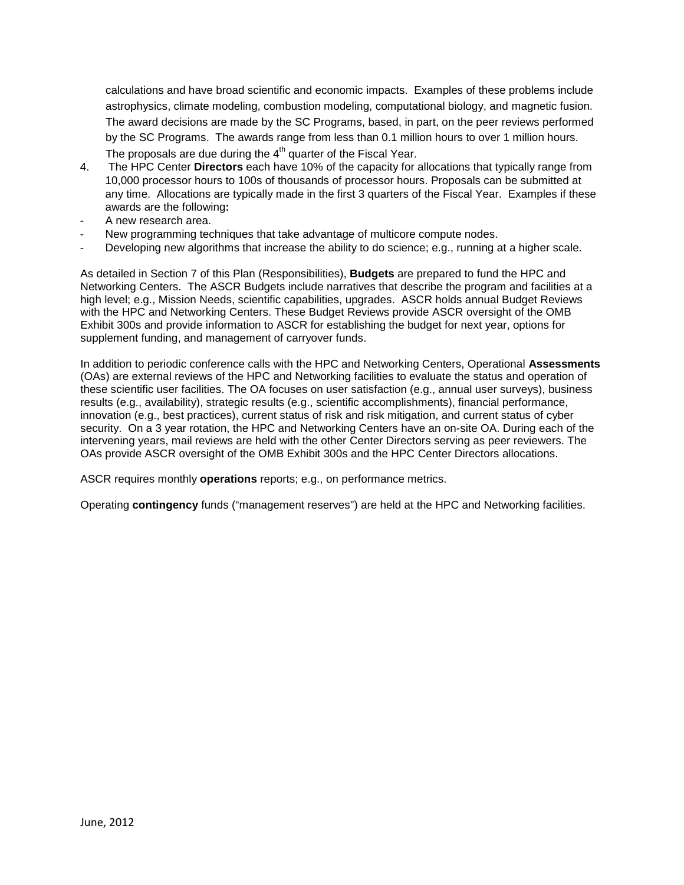calculations and have broad scientific and economic impacts. Examples of these problems include astrophysics, climate modeling, combustion modeling, computational biology, and magnetic fusion. The award decisions are made by the SC Programs, based, in part, on the peer reviews performed by the SC Programs. The awards range from less than 0.1 million hours to over 1 million hours. The proposals are due during the  $4<sup>th</sup>$  quarter of the Fiscal Year.

- 4. The HPC Center **Directors** each have 10% of the capacity for allocations that typically range from 10,000 processor hours to 100s of thousands of processor hours. Proposals can be submitted at any time. Allocations are typically made in the first 3 quarters of the Fiscal Year. Examples if these awards are the following**:**
- A new research area.
- New programming techniques that take advantage of multicore compute nodes.
- Developing new algorithms that increase the ability to do science; e.g., running at a higher scale.

As detailed in Section 7 of this Plan (Responsibilities), **Budgets** are prepared to fund the HPC and Networking Centers. The ASCR Budgets include narratives that describe the program and facilities at a high level; e.g., Mission Needs, scientific capabilities, upgrades. ASCR holds annual Budget Reviews with the HPC and Networking Centers. These Budget Reviews provide ASCR oversight of the OMB Exhibit 300s and provide information to ASCR for establishing the budget for next year, options for supplement funding, and management of carryover funds.

In addition to periodic conference calls with the HPC and Networking Centers, Operational **Assessments**  (OAs) are external reviews of the HPC and Networking facilities to evaluate the status and operation of these scientific user facilities. The OA focuses on user satisfaction (e.g., annual user surveys), business results (e.g., availability), strategic results (e.g., scientific accomplishments), financial performance, innovation (e.g., best practices), current status of risk and risk mitigation, and current status of cyber security. On a 3 year rotation, the HPC and Networking Centers have an on-site OA. During each of the intervening years, mail reviews are held with the other Center Directors serving as peer reviewers. The OAs provide ASCR oversight of the OMB Exhibit 300s and the HPC Center Directors allocations.

ASCR requires monthly **operations** reports; e.g., on performance metrics.

Operating **contingency** funds ("management reserves") are held at the HPC and Networking facilities.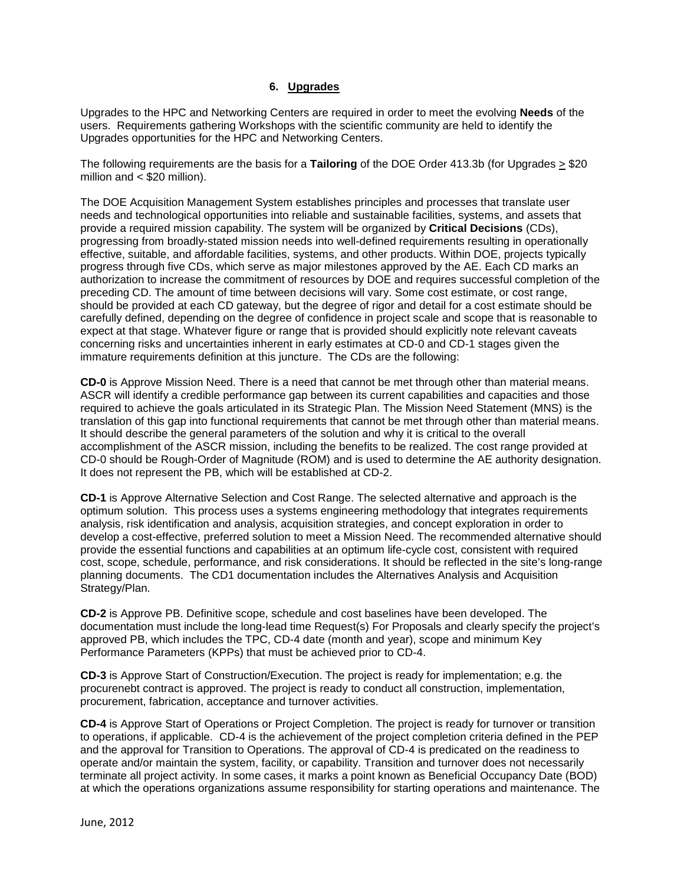#### **6. Upgrades**

Upgrades to the HPC and Networking Centers are required in order to meet the evolving **Needs** of the users. Requirements gathering Workshops with the scientific community are held to identify the Upgrades opportunities for the HPC and Networking Centers.

The following requirements are the basis for a **Tailoring** of the DOE Order 413.3b (for Upgrades > \$20 million and < \$20 million).

The DOE Acquisition Management System establishes principles and processes that translate user needs and technological opportunities into reliable and sustainable facilities, systems, and assets that provide a required mission capability. The system will be organized by **Critical Decisions** (CDs), progressing from broadly-stated mission needs into well-defined requirements resulting in operationally effective, suitable, and affordable facilities, systems, and other products. Within DOE, projects typically progress through five CDs, which serve as major milestones approved by the AE. Each CD marks an authorization to increase the commitment of resources by DOE and requires successful completion of the preceding CD. The amount of time between decisions will vary. Some cost estimate, or cost range, should be provided at each CD gateway, but the degree of rigor and detail for a cost estimate should be carefully defined, depending on the degree of confidence in project scale and scope that is reasonable to expect at that stage. Whatever figure or range that is provided should explicitly note relevant caveats concerning risks and uncertainties inherent in early estimates at CD-0 and CD-1 stages given the immature requirements definition at this juncture. The CDs are the following:

**CD-0** is Approve Mission Need. There is a need that cannot be met through other than material means. ASCR will identify a credible performance gap between its current capabilities and capacities and those required to achieve the goals articulated in its Strategic Plan. The Mission Need Statement (MNS) is the translation of this gap into functional requirements that cannot be met through other than material means. It should describe the general parameters of the solution and why it is critical to the overall accomplishment of the ASCR mission, including the benefits to be realized. The cost range provided at CD-0 should be Rough-Order of Magnitude (ROM) and is used to determine the AE authority designation. It does not represent the PB, which will be established at CD-2.

**CD-1** is Approve Alternative Selection and Cost Range. The selected alternative and approach is the optimum solution. This process uses a systems engineering methodology that integrates requirements analysis, risk identification and analysis, acquisition strategies, and concept exploration in order to develop a cost-effective, preferred solution to meet a Mission Need. The recommended alternative should provide the essential functions and capabilities at an optimum life-cycle cost, consistent with required cost, scope, schedule, performance, and risk considerations. It should be reflected in the site's long-range planning documents. The CD1 documentation includes the Alternatives Analysis and Acquisition Strategy/Plan.

**CD-2** is Approve PB. Definitive scope, schedule and cost baselines have been developed. The documentation must include the long-lead time Request(s) For Proposals and clearly specify the project's approved PB, which includes the TPC, CD-4 date (month and year), scope and minimum Key Performance Parameters (KPPs) that must be achieved prior to CD-4.

**CD-3** is Approve Start of Construction/Execution. The project is ready for implementation; e.g. the procurenebt contract is approved. The project is ready to conduct all construction, implementation, procurement, fabrication, acceptance and turnover activities.

**CD-4** is Approve Start of Operations or Project Completion. The project is ready for turnover or transition to operations, if applicable. CD-4 is the achievement of the project completion criteria defined in the PEP and the approval for Transition to Operations. The approval of CD-4 is predicated on the readiness to operate and/or maintain the system, facility, or capability. Transition and turnover does not necessarily terminate all project activity. In some cases, it marks a point known as Beneficial Occupancy Date (BOD) at which the operations organizations assume responsibility for starting operations and maintenance. The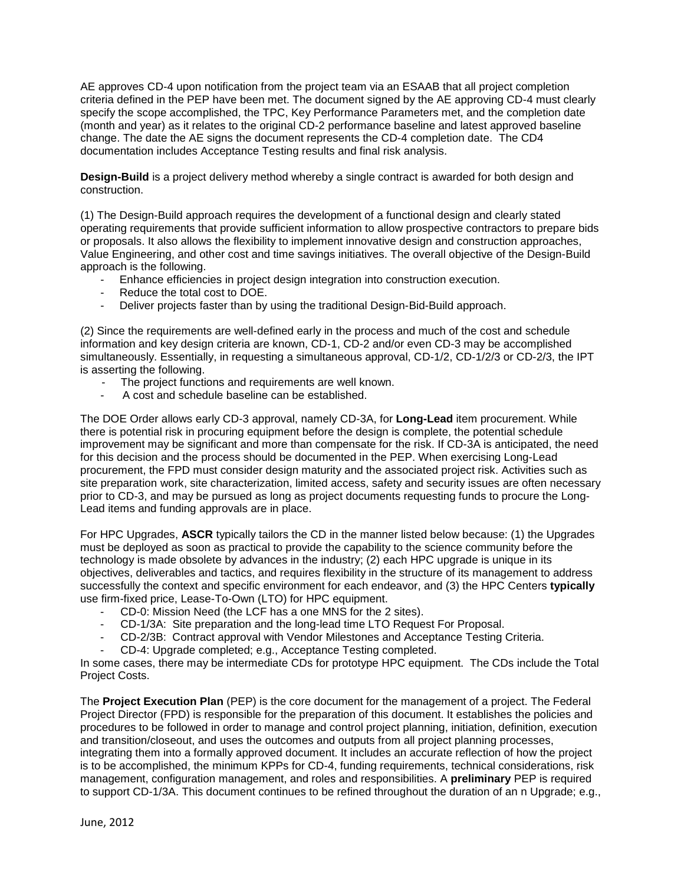AE approves CD-4 upon notification from the project team via an ESAAB that all project completion criteria defined in the PEP have been met. The document signed by the AE approving CD-4 must clearly specify the scope accomplished, the TPC, Key Performance Parameters met, and the completion date (month and year) as it relates to the original CD-2 performance baseline and latest approved baseline change. The date the AE signs the document represents the CD-4 completion date. The CD4 documentation includes Acceptance Testing results and final risk analysis.

**Design-Build** is a project delivery method whereby a single contract is awarded for both design and construction.

(1) The Design-Build approach requires the development of a functional design and clearly stated operating requirements that provide sufficient information to allow prospective contractors to prepare bids or proposals. It also allows the flexibility to implement innovative design and construction approaches, Value Engineering, and other cost and time savings initiatives. The overall objective of the Design-Build approach is the following.

- Enhance efficiencies in project design integration into construction execution.
- Reduce the total cost to DOE.
- Deliver projects faster than by using the traditional Design-Bid-Build approach.

(2) Since the requirements are well-defined early in the process and much of the cost and schedule information and key design criteria are known, CD-1, CD-2 and/or even CD-3 may be accomplished simultaneously. Essentially, in requesting a simultaneous approval, CD-1/2, CD-1/2/3 or CD-2/3, the IPT is asserting the following.

- The project functions and requirements are well known.
- A cost and schedule baseline can be established.

The DOE Order allows early CD-3 approval, namely CD-3A, for **Long-Lead** item procurement. While there is potential risk in procuring equipment before the design is complete, the potential schedule improvement may be significant and more than compensate for the risk. If CD-3A is anticipated, the need for this decision and the process should be documented in the PEP. When exercising Long-Lead procurement, the FPD must consider design maturity and the associated project risk. Activities such as site preparation work, site characterization, limited access, safety and security issues are often necessary prior to CD-3, and may be pursued as long as project documents requesting funds to procure the Long-Lead items and funding approvals are in place.

For HPC Upgrades, **ASCR** typically tailors the CD in the manner listed below because: (1) the Upgrades must be deployed as soon as practical to provide the capability to the science community before the technology is made obsolete by advances in the industry; (2) each HPC upgrade is unique in its objectives, deliverables and tactics, and requires flexibility in the structure of its management to address successfully the context and specific environment for each endeavor, and (3) the HPC Centers **typically** use firm-fixed price, Lease-To-Own (LTO) for HPC equipment.

- CD-0: Mission Need (the LCF has a one MNS for the 2 sites).
- CD-1/3A: Site preparation and the long-lead time LTO Request For Proposal.
- CD-2/3B: Contract approval with Vendor Milestones and Acceptance Testing Criteria.
- CD-4: Upgrade completed; e.g., Acceptance Testing completed.

In some cases, there may be intermediate CDs for prototype HPC equipment. The CDs include the Total Project Costs.

The **Project Execution Plan** (PEP) is the core document for the management of a project. The Federal Project Director (FPD) is responsible for the preparation of this document. It establishes the policies and procedures to be followed in order to manage and control project planning, initiation, definition, execution and transition/closeout, and uses the outcomes and outputs from all project planning processes, integrating them into a formally approved document. It includes an accurate reflection of how the project is to be accomplished, the minimum KPPs for CD-4, funding requirements, technical considerations, risk management, configuration management, and roles and responsibilities. A **preliminary** PEP is required to support CD-1/3A. This document continues to be refined throughout the duration of an n Upgrade; e.g.,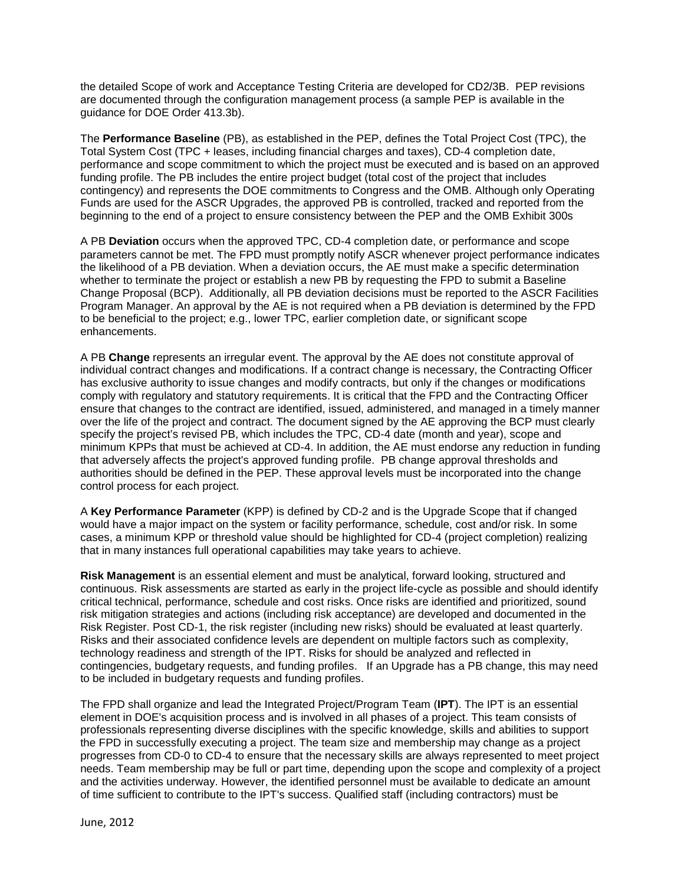the detailed Scope of work and Acceptance Testing Criteria are developed for CD2/3B. PEP revisions are documented through the configuration management process (a sample PEP is available in the guidance for DOE Order 413.3b).

The **Performance Baseline** (PB), as established in the PEP, defines the Total Project Cost (TPC), the Total System Cost (TPC + leases, including financial charges and taxes), CD-4 completion date, performance and scope commitment to which the project must be executed and is based on an approved funding profile. The PB includes the entire project budget (total cost of the project that includes contingency) and represents the DOE commitments to Congress and the OMB. Although only Operating Funds are used for the ASCR Upgrades, the approved PB is controlled, tracked and reported from the beginning to the end of a project to ensure consistency between the PEP and the OMB Exhibit 300s

A PB **Deviation** occurs when the approved TPC, CD-4 completion date, or performance and scope parameters cannot be met. The FPD must promptly notify ASCR whenever project performance indicates the likelihood of a PB deviation. When a deviation occurs, the AE must make a specific determination whether to terminate the project or establish a new PB by requesting the FPD to submit a Baseline Change Proposal (BCP). Additionally, all PB deviation decisions must be reported to the ASCR Facilities Program Manager. An approval by the AE is not required when a PB deviation is determined by the FPD to be beneficial to the project; e.g., lower TPC, earlier completion date, or significant scope enhancements.

A PB **Change** represents an irregular event. The approval by the AE does not constitute approval of individual contract changes and modifications. If a contract change is necessary, the Contracting Officer has exclusive authority to issue changes and modify contracts, but only if the changes or modifications comply with regulatory and statutory requirements. It is critical that the FPD and the Contracting Officer ensure that changes to the contract are identified, issued, administered, and managed in a timely manner over the life of the project and contract. The document signed by the AE approving the BCP must clearly specify the project's revised PB, which includes the TPC, CD-4 date (month and year), scope and minimum KPPs that must be achieved at CD-4. In addition, the AE must endorse any reduction in funding that adversely affects the project's approved funding profile. PB change approval thresholds and authorities should be defined in the PEP. These approval levels must be incorporated into the change control process for each project.

A **Key Performance Parameter** (KPP) is defined by CD-2 and is the Upgrade Scope that if changed would have a major impact on the system or facility performance, schedule, cost and/or risk. In some cases, a minimum KPP or threshold value should be highlighted for CD-4 (project completion) realizing that in many instances full operational capabilities may take years to achieve.

**Risk Management** is an essential element and must be analytical, forward looking, structured and continuous. Risk assessments are started as early in the project life-cycle as possible and should identify critical technical, performance, schedule and cost risks. Once risks are identified and prioritized, sound risk mitigation strategies and actions (including risk acceptance) are developed and documented in the Risk Register. Post CD-1, the risk register (including new risks) should be evaluated at least quarterly. Risks and their associated confidence levels are dependent on multiple factors such as complexity, technology readiness and strength of the IPT. Risks for should be analyzed and reflected in contingencies, budgetary requests, and funding profiles. If an Upgrade has a PB change, this may need to be included in budgetary requests and funding profiles.

The FPD shall organize and lead the Integrated Project/Program Team (**IPT**). The IPT is an essential element in DOE's acquisition process and is involved in all phases of a project. This team consists of professionals representing diverse disciplines with the specific knowledge, skills and abilities to support the FPD in successfully executing a project. The team size and membership may change as a project progresses from CD-0 to CD-4 to ensure that the necessary skills are always represented to meet project needs. Team membership may be full or part time, depending upon the scope and complexity of a project and the activities underway. However, the identified personnel must be available to dedicate an amount of time sufficient to contribute to the IPT's success. Qualified staff (including contractors) must be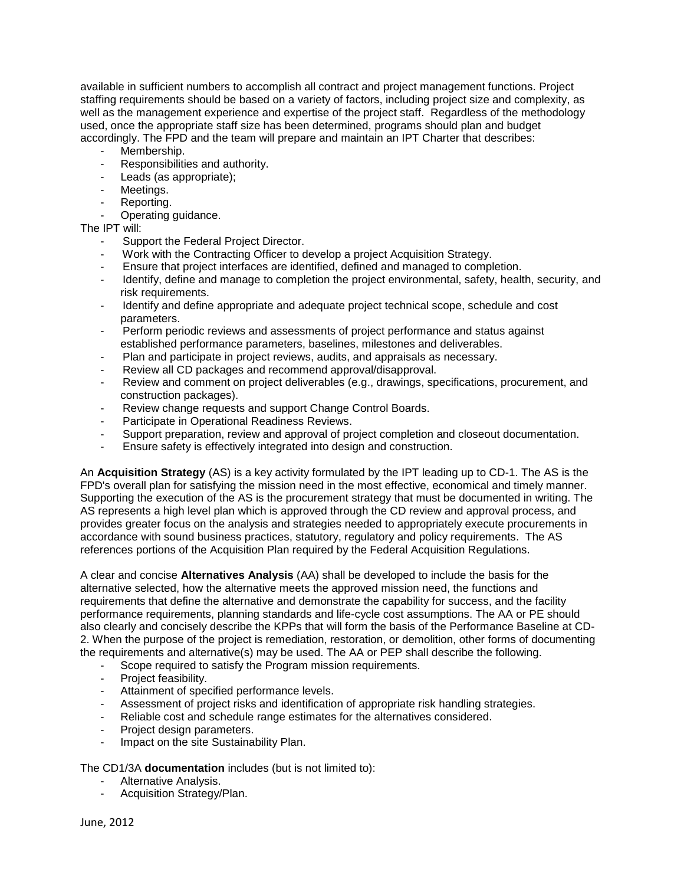available in sufficient numbers to accomplish all contract and project management functions. Project staffing requirements should be based on a variety of factors, including project size and complexity, as well as the management experience and expertise of the project staff. Regardless of the methodology used, once the appropriate staff size has been determined, programs should plan and budget accordingly. The FPD and the team will prepare and maintain an IPT Charter that describes:

- Membership.
- Responsibilities and authority.
- Leads (as appropriate);
- Meetings.
- Reporting.
- Operating guidance.

The IPT will:

- Support the Federal Project Director.
- Work with the Contracting Officer to develop a project Acquisition Strategy.
- Ensure that project interfaces are identified, defined and managed to completion.
- Identify, define and manage to completion the project environmental, safety, health, security, and risk requirements.
- Identify and define appropriate and adequate project technical scope, schedule and cost parameters.
- Perform periodic reviews and assessments of project performance and status against established performance parameters, baselines, milestones and deliverables.
- Plan and participate in project reviews, audits, and appraisals as necessary.
- Review all CD packages and recommend approval/disapproval.
- Review and comment on project deliverables (e.g., drawings, specifications, procurement, and construction packages).
- Review change requests and support Change Control Boards.
- Participate in Operational Readiness Reviews.
- Support preparation, review and approval of project completion and closeout documentation.
- Ensure safety is effectively integrated into design and construction.

An **Acquisition Strategy** (AS) is a key activity formulated by the IPT leading up to CD-1. The AS is the FPD's overall plan for satisfying the mission need in the most effective, economical and timely manner. Supporting the execution of the AS is the procurement strategy that must be documented in writing. The AS represents a high level plan which is approved through the CD review and approval process, and provides greater focus on the analysis and strategies needed to appropriately execute procurements in accordance with sound business practices, statutory, regulatory and policy requirements. The AS references portions of the Acquisition Plan required by the Federal Acquisition Regulations.

A clear and concise **Alternatives Analysis** (AA) shall be developed to include the basis for the alternative selected, how the alternative meets the approved mission need, the functions and requirements that define the alternative and demonstrate the capability for success, and the facility performance requirements, planning standards and life-cycle cost assumptions. The AA or PE should also clearly and concisely describe the KPPs that will form the basis of the Performance Baseline at CD-2. When the purpose of the project is remediation, restoration, or demolition, other forms of documenting the requirements and alternative(s) may be used. The AA or PEP shall describe the following.

- Scope required to satisfy the Program mission requirements.
- Project feasibility.
- Attainment of specified performance levels.
- Assessment of project risks and identification of appropriate risk handling strategies.
- Reliable cost and schedule range estimates for the alternatives considered.
- Project design parameters.
- Impact on the site Sustainability Plan.

The CD1/3A **documentation** includes (but is not limited to):

- Alternative Analysis.
- Acquisition Strategy/Plan.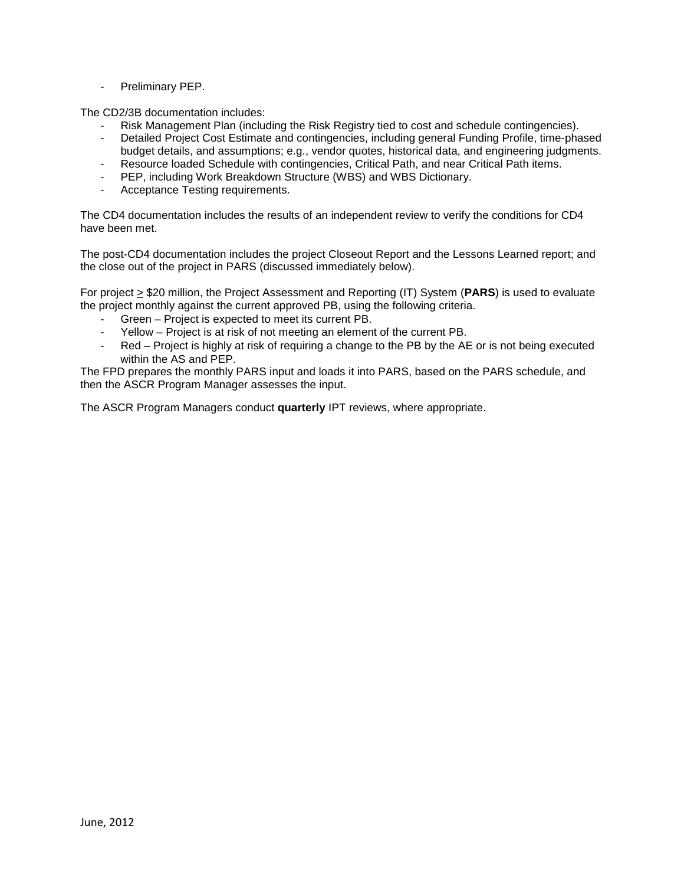- Preliminary PEP.

The CD2/3B documentation includes:

- Risk Management Plan (including the Risk Registry tied to cost and schedule contingencies).
- Detailed Project Cost Estimate and contingencies, including general Funding Profile, time-phased budget details, and assumptions; e.g., vendor quotes, historical data, and engineering judgments.
- Resource loaded Schedule with contingencies, Critical Path, and near Critical Path items.
- PEP, including Work Breakdown Structure (WBS) and WBS Dictionary.
- Acceptance Testing requirements.

The CD4 documentation includes the results of an independent review to verify the conditions for CD4 have been met.

The post-CD4 documentation includes the project Closeout Report and the Lessons Learned report; and the close out of the project in PARS (discussed immediately below).

For project > \$20 million, the Project Assessment and Reporting (IT) System (**PARS**) is used to evaluate the project monthly against the current approved PB, using the following criteria.

- Green Project is expected to meet its current PB.
- Yellow Project is at risk of not meeting an element of the current PB.
- Red Project is highly at risk of requiring a change to the PB by the AE or is not being executed within the AS and PEP.

The FPD prepares the monthly PARS input and loads it into PARS, based on the PARS schedule, and then the ASCR Program Manager assesses the input.

The ASCR Program Managers conduct **quarterly** IPT reviews, where appropriate.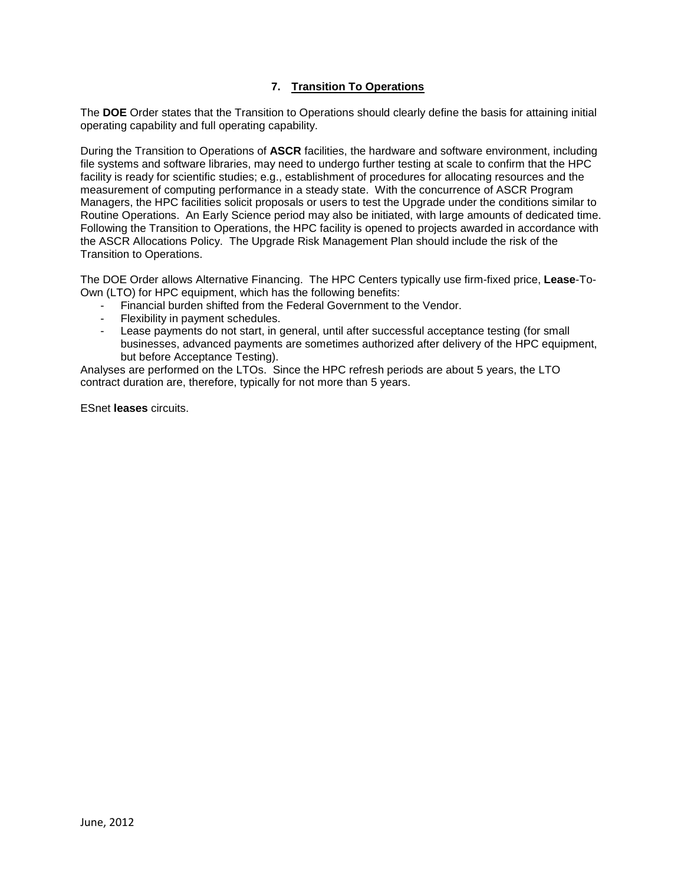### **7. Transition To Operations**

The **DOE** Order states that the Transition to Operations should clearly define the basis for attaining initial operating capability and full operating capability.

During the Transition to Operations of **ASCR** facilities, the hardware and software environment, including file systems and software libraries, may need to undergo further testing at scale to confirm that the HPC facility is ready for scientific studies; e.g., establishment of procedures for allocating resources and the measurement of computing performance in a steady state. With the concurrence of ASCR Program Managers, the HPC facilities solicit proposals or users to test the Upgrade under the conditions similar to Routine Operations. An Early Science period may also be initiated, with large amounts of dedicated time. Following the Transition to Operations, the HPC facility is opened to projects awarded in accordance with the ASCR Allocations Policy. The Upgrade Risk Management Plan should include the risk of the Transition to Operations.

The DOE Order allows Alternative Financing. The HPC Centers typically use firm-fixed price, **Lease**-To-Own (LTO) for HPC equipment, which has the following benefits:

- Financial burden shifted from the Federal Government to the Vendor.
- Flexibility in payment schedules.
- Lease payments do not start, in general, until after successful acceptance testing (for small businesses, advanced payments are sometimes authorized after delivery of the HPC equipment, but before Acceptance Testing).

Analyses are performed on the LTOs. Since the HPC refresh periods are about 5 years, the LTO contract duration are, therefore, typically for not more than 5 years.

ESnet **leases** circuits.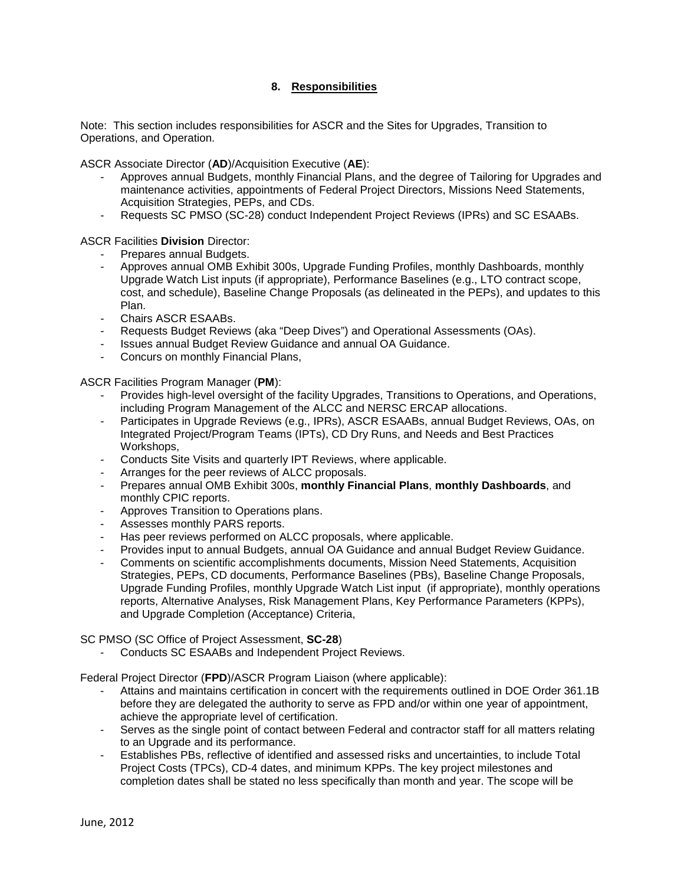# **8. Responsibilities**

Note: This section includes responsibilities for ASCR and the Sites for Upgrades, Transition to Operations, and Operation.

ASCR Associate Director (**AD**)/Acquisition Executive (**AE**):

- Approves annual Budgets, monthly Financial Plans, and the degree of Tailoring for Upgrades and maintenance activities, appointments of Federal Project Directors, Missions Need Statements, Acquisition Strategies, PEPs, and CDs.
- Requests SC PMSO (SC-28) conduct Independent Project Reviews (IPRs) and SC ESAABs.

ASCR Facilities **Division** Director:

- Prepares annual Budgets.
- Approves annual OMB Exhibit 300s, Upgrade Funding Profiles, monthly Dashboards, monthly Upgrade Watch List inputs (if appropriate), Performance Baselines (e.g., LTO contract scope, cost, and schedule), Baseline Change Proposals (as delineated in the PEPs), and updates to this Plan.
- Chairs ASCR ESAABs.
- Requests Budget Reviews (aka "Deep Dives") and Operational Assessments (OAs).
- Issues annual Budget Review Guidance and annual OA Guidance.
- Concurs on monthly Financial Plans,

ASCR Facilities Program Manager (**PM**):

- Provides high-level oversight of the facility Upgrades, Transitions to Operations, and Operations, including Program Management of the ALCC and NERSC ERCAP allocations.
- Participates in Upgrade Reviews (e.g., IPRs), ASCR ESAABs, annual Budget Reviews, OAs, on Integrated Project/Program Teams (IPTs), CD Dry Runs, and Needs and Best Practices Workshops,
- Conducts Site Visits and quarterly IPT Reviews, where applicable.
- Arranges for the peer reviews of ALCC proposals.
- Prepares annual OMB Exhibit 300s, **monthly Financial Plans**, **monthly Dashboards**, and monthly CPIC reports.
- Approves Transition to Operations plans.
- Assesses monthly PARS reports.
- Has peer reviews performed on ALCC proposals, where applicable.
- Provides input to annual Budgets, annual OA Guidance and annual Budget Review Guidance.
- Comments on scientific accomplishments documents, Mission Need Statements, Acquisition Strategies, PEPs, CD documents, Performance Baselines (PBs), Baseline Change Proposals, Upgrade Funding Profiles, monthly Upgrade Watch List input (if appropriate), monthly operations reports, Alternative Analyses, Risk Management Plans, Key Performance Parameters (KPPs), and Upgrade Completion (Acceptance) Criteria,

#### SC PMSO (SC Office of Project Assessment, **SC-28**)

Conducts SC ESAABs and Independent Project Reviews.

Federal Project Director (**FPD**)/ASCR Program Liaison (where applicable):

- Attains and maintains certification in concert with the requirements outlined in DOE Order 361.1B before they are delegated the authority to serve as FPD and/or within one year of appointment, achieve the appropriate level of certification.
- Serves as the single point of contact between Federal and contractor staff for all matters relating to an Upgrade and its performance.
- Establishes PBs, reflective of identified and assessed risks and uncertainties, to include Total Project Costs (TPCs), CD-4 dates, and minimum KPPs. The key project milestones and completion dates shall be stated no less specifically than month and year. The scope will be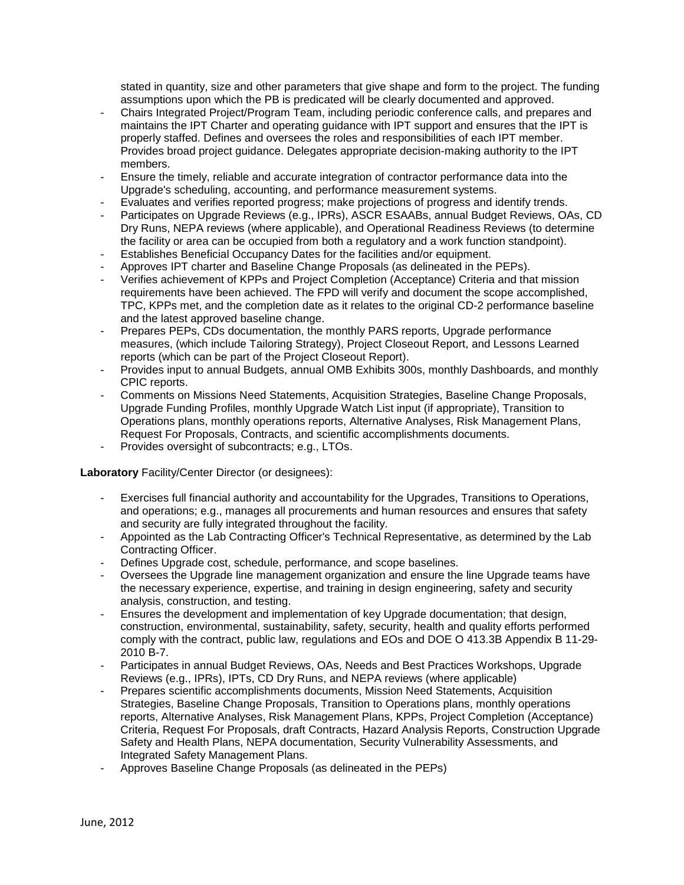stated in quantity, size and other parameters that give shape and form to the project. The funding assumptions upon which the PB is predicated will be clearly documented and approved.

- Chairs Integrated Project/Program Team, including periodic conference calls, and prepares and maintains the IPT Charter and operating guidance with IPT support and ensures that the IPT is properly staffed. Defines and oversees the roles and responsibilities of each IPT member. Provides broad project guidance. Delegates appropriate decision-making authority to the IPT members.
- Ensure the timely, reliable and accurate integration of contractor performance data into the Upgrade's scheduling, accounting, and performance measurement systems.
- Evaluates and verifies reported progress; make projections of progress and identify trends.
- Participates on Upgrade Reviews (e.g., IPRs), ASCR ESAABs, annual Budget Reviews, OAs, CD Dry Runs, NEPA reviews (where applicable), and Operational Readiness Reviews (to determine the facility or area can be occupied from both a regulatory and a work function standpoint).
- Establishes Beneficial Occupancy Dates for the facilities and/or equipment.
- Approves IPT charter and Baseline Change Proposals (as delineated in the PEPs).
- Verifies achievement of KPPs and Project Completion (Acceptance) Criteria and that mission requirements have been achieved. The FPD will verify and document the scope accomplished, TPC, KPPs met, and the completion date as it relates to the original CD-2 performance baseline and the latest approved baseline change.
- Prepares PEPs, CDs documentation, the monthly PARS reports, Upgrade performance measures, (which include Tailoring Strategy), Project Closeout Report, and Lessons Learned reports (which can be part of the Project Closeout Report).
- Provides input to annual Budgets, annual OMB Exhibits 300s, monthly Dashboards, and monthly CPIC reports.
- Comments on Missions Need Statements, Acquisition Strategies, Baseline Change Proposals, Upgrade Funding Profiles, monthly Upgrade Watch List input (if appropriate), Transition to Operations plans, monthly operations reports, Alternative Analyses, Risk Management Plans, Request For Proposals, Contracts, and scientific accomplishments documents.
- Provides oversight of subcontracts; e.g., LTOs.

**Laboratory** Facility/Center Director (or designees):

- Exercises full financial authority and accountability for the Upgrades, Transitions to Operations, and operations; e.g., manages all procurements and human resources and ensures that safety and security are fully integrated throughout the facility.
- Appointed as the Lab Contracting Officer's Technical Representative, as determined by the Lab Contracting Officer.
- Defines Upgrade cost, schedule, performance, and scope baselines.
- Oversees the Upgrade line management organization and ensure the line Upgrade teams have the necessary experience, expertise, and training in design engineering, safety and security analysis, construction, and testing.
- Ensures the development and implementation of key Upgrade documentation; that design, construction, environmental, sustainability, safety, security, health and quality efforts performed comply with the contract, public law, regulations and EOs and DOE O 413.3B Appendix B 11-29- 2010 B-7.
- Participates in annual Budget Reviews, OAs, Needs and Best Practices Workshops, Upgrade Reviews (e.g., IPRs), IPTs, CD Dry Runs, and NEPA reviews (where applicable)
- Prepares scientific accomplishments documents, Mission Need Statements, Acquisition Strategies, Baseline Change Proposals, Transition to Operations plans, monthly operations reports, Alternative Analyses, Risk Management Plans, KPPs, Project Completion (Acceptance) Criteria, Request For Proposals, draft Contracts, Hazard Analysis Reports, Construction Upgrade Safety and Health Plans, NEPA documentation, Security Vulnerability Assessments, and Integrated Safety Management Plans.
- Approves Baseline Change Proposals (as delineated in the PEPs)